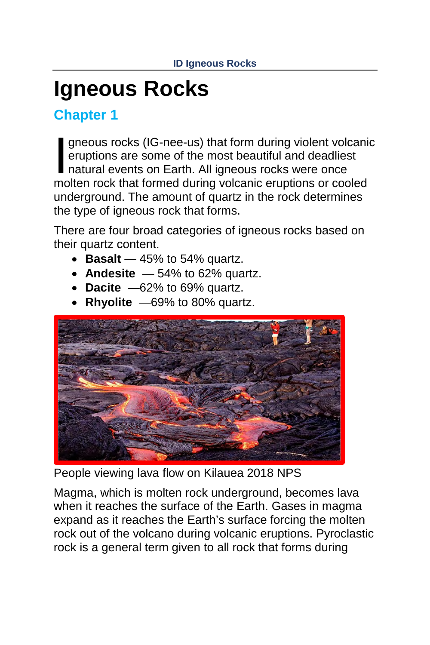## **Igneous Rocks**

**Chapter 1**

gneous rocks (IG-nee-us) that form during violent volcanic eruptions are some of the most beautiful and deadliest natural events on Earth. All igneous rocks were once gneous rocks (IG-nee-us) that form during violent volcanic eruptions are some of the most beautiful and deadliest natural events on Earth. All igneous rocks were once molten rock that formed during volcanic eruptions or co underground. The amount of quartz in the rock determines the type of igneous rock that forms.

There are four broad categories of igneous rocks based on their quartz content.

- **Basalt** 45% to 54% quartz.
- **Andesite**  54% to 62% quartz.
- **Dacite** —62% to 69% quartz.
- **Rhyolite** —69% to 80% quartz.



People viewing lava flow on Kilauea 2018 NPS

Magma, which is molten rock underground, becomes lava when it reaches the surface of the Earth. Gases in magma expand as it reaches the Earth's surface forcing the molten rock out of the volcano during volcanic eruptions. Pyroclastic rock is a general term given to all rock that forms during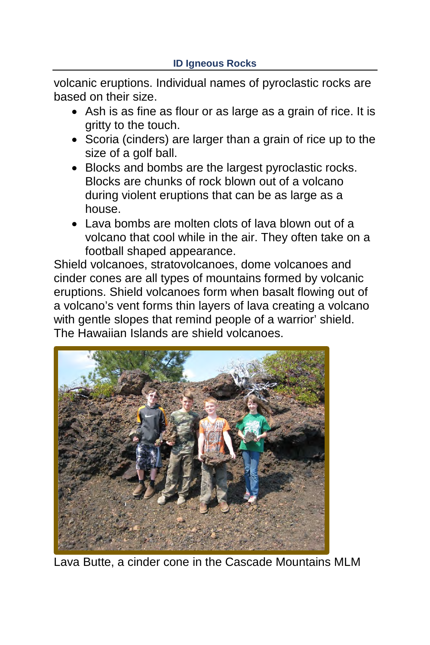volcanic eruptions. Individual names of pyroclastic rocks are based on their size.

- Ash is as fine as flour or as large as a grain of rice. It is gritty to the touch.
- Scoria (cinders) are larger than a grain of rice up to the size of a golf ball.
- Blocks and bombs are the largest pyroclastic rocks. Blocks are chunks of rock blown out of a volcano during violent eruptions that can be as large as a house.
- Lava bombs are molten clots of lava blown out of a volcano that cool while in the air. They often take on a football shaped appearance.

Shield volcanoes, stratovolcanoes, dome volcanoes and cinder cones are all types of mountains formed by volcanic eruptions. Shield volcanoes form when basalt flowing out of a volcano's vent forms thin layers of lava creating a volcano with gentle slopes that remind people of a warrior' shield. The Hawaiian Islands are shield volcanoes.



Lava Butte, a cinder cone in the Cascade Mountains MLM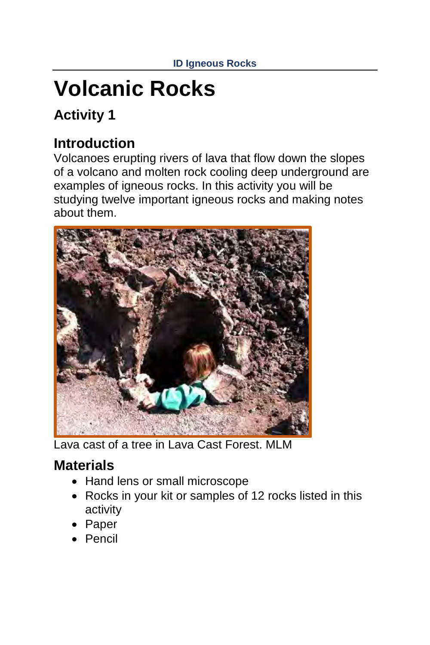# **Volcanic Rocks**

### **Activity 1**

#### **Introduction**

Volcanoes erupting rivers of lava that flow down the slopes of a volcano and molten rock cooling deep underground are examples of igneous rocks. In this activity you will be studying twelve important igneous rocks and making notes about them.



Lava cast of a tree in Lava Cast Forest. MLM

#### **Materials**

- Hand lens or small microscope
- Rocks in your kit or samples of 12 rocks listed in this activity
- Paper
- Pencil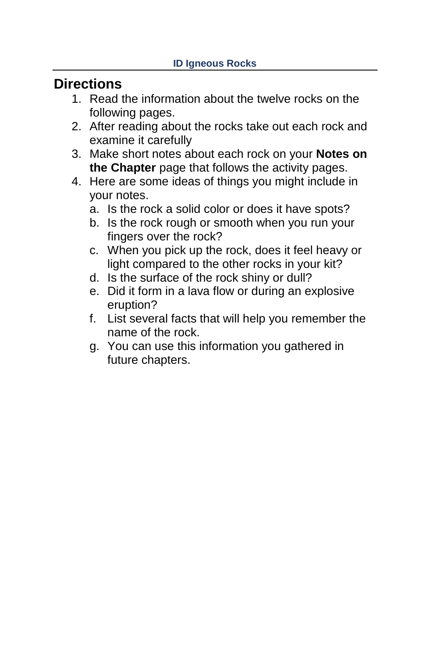#### **Directions**

- 1. Read the information about the twelve rocks on the following pages.
- 2. After reading about the rocks take out each rock and examine it carefully
- 3. Make short notes about each rock on your **Notes on the Chapter** page that follows the activity pages.
- 4. Here are some ideas of things you might include in your notes.
	- a. Is the rock a solid color or does it have spots?
	- b. Is the rock rough or smooth when you run your fingers over the rock?
	- c. When you pick up the rock, does it feel heavy or light compared to the other rocks in your kit?
	- d. Is the surface of the rock shiny or dull?
	- e. Did it form in a lava flow or during an explosive eruption?
	- f. List several facts that will help you remember the name of the rock.
	- g. You can use this information you gathered in future chapters.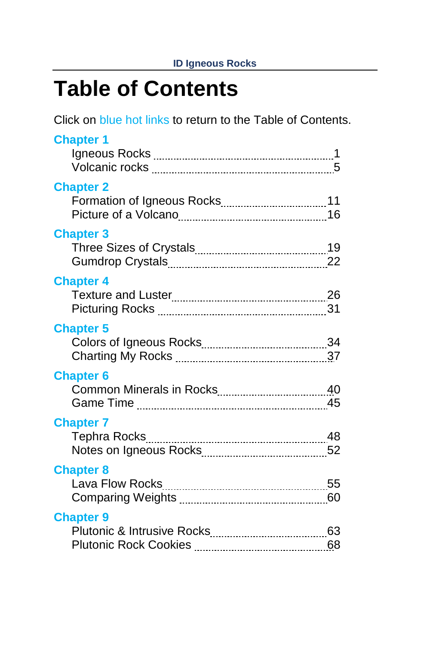### **Table of Contents**

Click on blue hot links to return to the Table of Contents.

| <b>Chapter 1</b> |  |
|------------------|--|
| <b>Chapter 2</b> |  |
| <b>Chapter 3</b> |  |
| <b>Chapter 4</b> |  |
| <b>Chapter 5</b> |  |
| <b>Chapter 6</b> |  |
| <b>Chapter 7</b> |  |
| <b>Chapter 8</b> |  |
| <b>Chapter 9</b> |  |